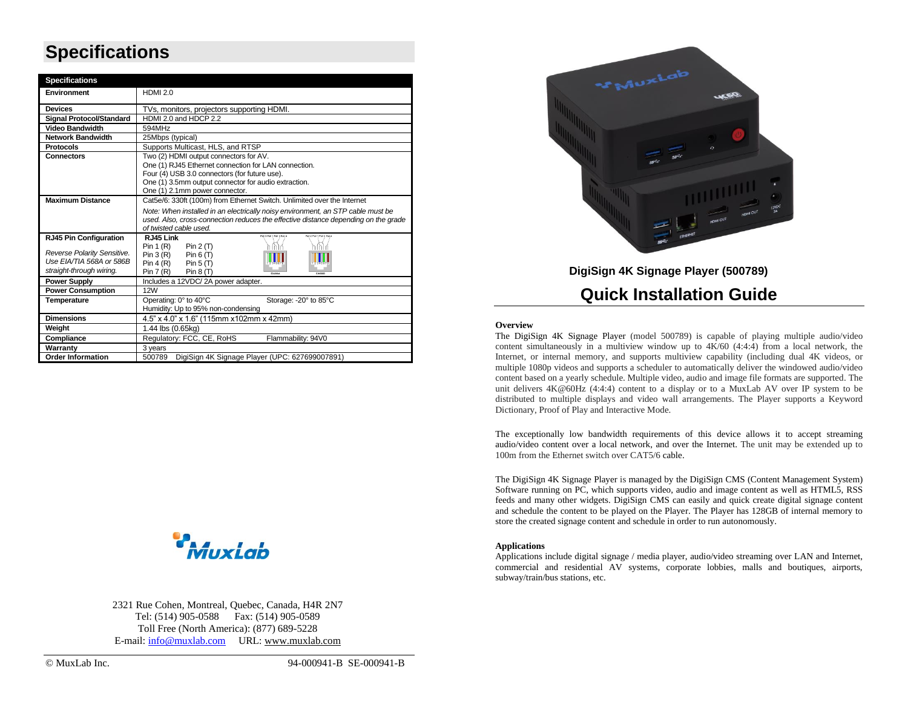## **Specifications**

| <b>Specifications</b>           |                                                                                    |  |  |
|---------------------------------|------------------------------------------------------------------------------------|--|--|
| Environment                     | <b>HDMI 2.0</b>                                                                    |  |  |
| <b>Devices</b>                  | TVs, monitors, projectors supporting HDMI.                                         |  |  |
| <b>Signal Protocol/Standard</b> | HDMI 2.0 and HDCP 2.2                                                              |  |  |
| <b>Video Bandwidth</b>          | 594MHz                                                                             |  |  |
| <b>Network Bandwidth</b>        | 25Mbps (typical)                                                                   |  |  |
| <b>Protocols</b>                | Supports Multicast, HLS, and RTSP                                                  |  |  |
| <b>Connectors</b>               | Two (2) HDMI output connectors for AV.                                             |  |  |
|                                 | One (1) RJ45 Ethernet connection for LAN connection.                               |  |  |
|                                 | Four (4) USB 3.0 connectors (for future use).                                      |  |  |
|                                 | One (1) 3.5mm output connector for audio extraction.                               |  |  |
|                                 | One (1) 2.1mm power connector.                                                     |  |  |
| <b>Maximum Distance</b>         | Cat5e/6: 330ft (100m) from Ethernet Switch. Unlimited over the Internet            |  |  |
|                                 | Note: When installed in an electrically noisy environment, an STP cable must be    |  |  |
|                                 | used. Also, cross-connection reduces the effective distance depending on the grade |  |  |
|                                 | of twisted cable used.<br>Pair 3 Pair 1 Pair 2 Pair 4<br>Pair 2 Pair 1 Pair 3 Pair |  |  |
| <b>RJ45 Pin Configuration</b>   | RJ45 Link                                                                          |  |  |
| Reverse Polarity Sensitive.     | Pin $1(R)$<br>Pin $2(T)$<br>Pin $3(R)$ Pin $6(T)$                                  |  |  |
| Use EIA/TIA 568A or 586B        | Pin $4(R)$ Pin $5(T)$                                                              |  |  |
| straight-through wiring.        | Pin 7(R)<br>Pin $8(T)$<br>514,6666                                                 |  |  |
| <b>Power Supply</b>             | Includes a 12VDC/2A power adapter.                                                 |  |  |
| <b>Power Consumption</b>        | <b>12W</b>                                                                         |  |  |
| Temperature                     | Operating: 0° to 40°C<br>Storage: -20° to 85°C                                     |  |  |
|                                 | Humidity: Up to 95% non-condensing                                                 |  |  |
| <b>Dimensions</b>               | 4.5" x 4.0" x 1.6" (115mm x102mm x 42mm)                                           |  |  |
| Weight                          | 1.44 lbs (0.65kg)                                                                  |  |  |
| Compliance                      | Regulatory: FCC, CE, RoHS<br>Flammability: 94V0                                    |  |  |
| Warranty                        | 3 years                                                                            |  |  |
| <b>Order Information</b>        | DigiSign 4K Signage Player (UPC: 627699007891)<br>500789                           |  |  |



2321 Rue Cohen, Montreal, Quebec, Canada, H4R 2N7 Tel: (514) 905-0588 Fax: (514) 905-0589 Toll Free (North America): (877) 689-5228 E-mail: [info@muxlab.com](mailto:info@muxlab.com) URL[: www.muxlab.com](../../../../AppData/Local/Microsoft/Windows/INetCache/AppData/Local/Packages/Microsoft.Office.Desktop_8wekyb3d8bbwe/AppData/Local/Microsoft/Windows/Temporary%20Internet%20Files/Users/j.aubin/AppData/Local/Microsoft/Windows/Temporary%20Internet%20Files/Content.Outlook/AppData/Local/Microsoft/Windows/Temporary%20Internet%20Files/Content.Outlook/XJYHVDG2/Original%20Documents/www.muxlab.com)



**DigiSign 4K Signage Player (500789)**

### **Quick Installation Guide**

#### **Overview**

The DigiSign 4K Signage Player (model 500789) is capable of playing multiple audio/video content simultaneously in a multiview window up to  $4K/60$  (4:4:4) from a local network, the Internet, or internal memory, and supports multiview capability (including dual 4K videos, or multiple 1080p videos and supports a scheduler to automatically deliver the windowed audio/video content based on a yearly schedule. Multiple video, audio and image file formats are supported. The unit delivers 4K@60Hz (4:4:4) content to a display or to a MuxLab AV over IP system to be distributed to multiple displays and video wall arrangements. The Player supports a Keyword Dictionary, Proof of Play and Interactive Mode.

The exceptionally low bandwidth requirements of this device allows it to accept streaming audio/video content over a local network, and over the Internet. The unit may be extended up to 100m from the Ethernet switch over CAT5/6 cable.

The DigiSign 4K Signage Player is managed by the DigiSign CMS (Content Management System) Software running on PC, which supports video, audio and image content as well as HTML5, RSS feeds and many other widgets. DigiSign CMS can easily and quick create digital signage content and schedule the content to be played on the Player. The Player has 128GB of internal memory to store the created signage content and schedule in order to run autonomously.

#### **Applications**

Applications include digital signage / media player, audio/video streaming over LAN and Internet, commercial and residential AV systems, corporate lobbies, malls and boutiques, airports, subway/train/bus stations, etc.